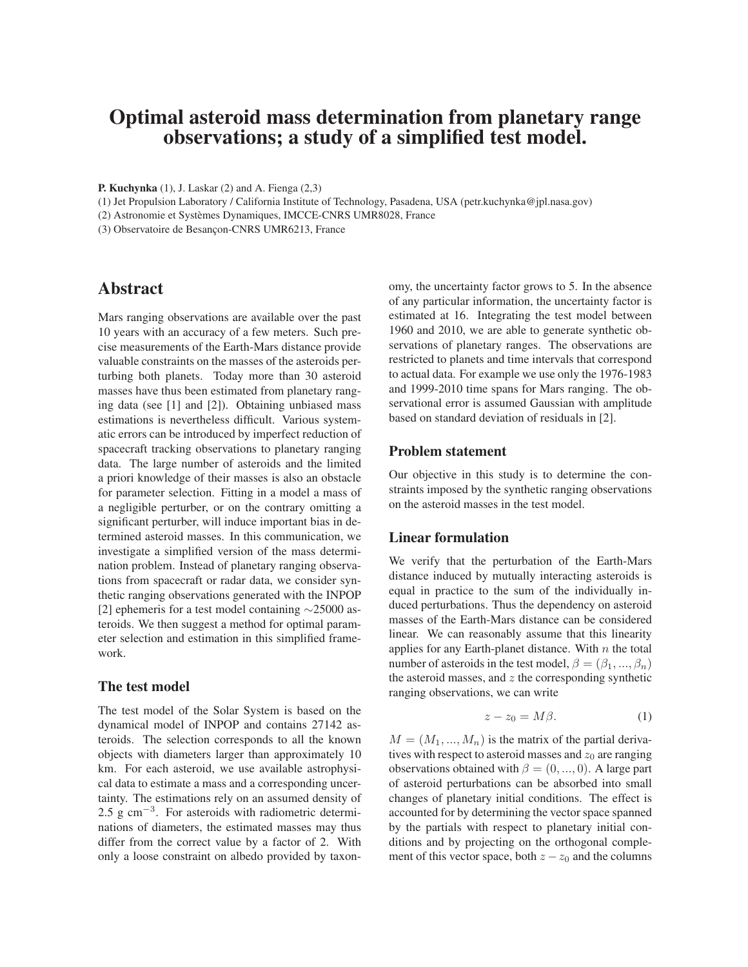# Optimal asteroid mass determination from planetary range observations; a study of a simplified test model.

P. Kuchynka (1), J. Laskar (2) and A. Fienga (2,3)

(1) Jet Propulsion Laboratory / California Institute of Technology, Pasadena, USA (petr.kuchynka@jpl.nasa.gov)

(2) Astronomie et Systèmes Dynamiques, IMCCE-CNRS UMR8028, France

(3) Observatoire de Besançon-CNRS UMR6213, France

# Abstract

Mars ranging observations are available over the past 10 years with an accuracy of a few meters. Such precise measurements of the Earth-Mars distance provide valuable constraints on the masses of the asteroids perturbing both planets. Today more than 30 asteroid masses have thus been estimated from planetary ranging data (see [1] and [2]). Obtaining unbiased mass estimations is nevertheless difficult. Various systematic errors can be introduced by imperfect reduction of spacecraft tracking observations to planetary ranging data. The large number of asteroids and the limited a priori knowledge of their masses is also an obstacle for parameter selection. Fitting in a model a mass of a negligible perturber, or on the contrary omitting a significant perturber, will induce important bias in determined asteroid masses. In this communication, we investigate a simplified version of the mass determination problem. Instead of planetary ranging observations from spacecraft or radar data, we consider synthetic ranging observations generated with the INPOP [2] ephemeris for a test model containing ∼25000 asteroids. We then suggest a method for optimal parameter selection and estimation in this simplified framework.

## The test model

The test model of the Solar System is based on the dynamical model of INPOP and contains 27142 asteroids. The selection corresponds to all the known objects with diameters larger than approximately 10 km. For each asteroid, we use available astrophysical data to estimate a mass and a corresponding uncertainty. The estimations rely on an assumed density of 2.5 g cm<sup>−3</sup>. For asteroids with radiometric determinations of diameters, the estimated masses may thus differ from the correct value by a factor of 2. With only a loose constraint on albedo provided by taxonomy, the uncertainty factor grows to 5. In the absence of any particular information, the uncertainty factor is estimated at 16. Integrating the test model between 1960 and 2010, we are able to generate synthetic observations of planetary ranges. The observations are restricted to planets and time intervals that correspond to actual data. For example we use only the 1976-1983 and 1999-2010 time spans for Mars ranging. The observational error is assumed Gaussian with amplitude based on standard deviation of residuals in [2].

# Problem statement

Our objective in this study is to determine the constraints imposed by the synthetic ranging observations on the asteroid masses in the test model.

# Linear formulation

We verify that the perturbation of the Earth-Mars distance induced by mutually interacting asteroids is equal in practice to the sum of the individually induced perturbations. Thus the dependency on asteroid masses of the Earth-Mars distance can be considered linear. We can reasonably assume that this linearity applies for any Earth-planet distance. With  $n$  the total number of asteroids in the test model,  $\beta = (\beta_1, ..., \beta_n)$ the asteroid masses, and  $z$  the corresponding synthetic ranging observations, we can write

$$
z - z_0 = M\beta. \tag{1}
$$

 $M = (M_1, ..., M_n)$  is the matrix of the partial derivatives with respect to asteroid masses and  $z_0$  are ranging observations obtained with  $\beta = (0, ..., 0)$ . A large part of asteroid perturbations can be absorbed into small changes of planetary initial conditions. The effect is accounted for by determining the vector space spanned by the partials with respect to planetary initial conditions and by projecting on the orthogonal complement of this vector space, both  $z - z_0$  and the columns